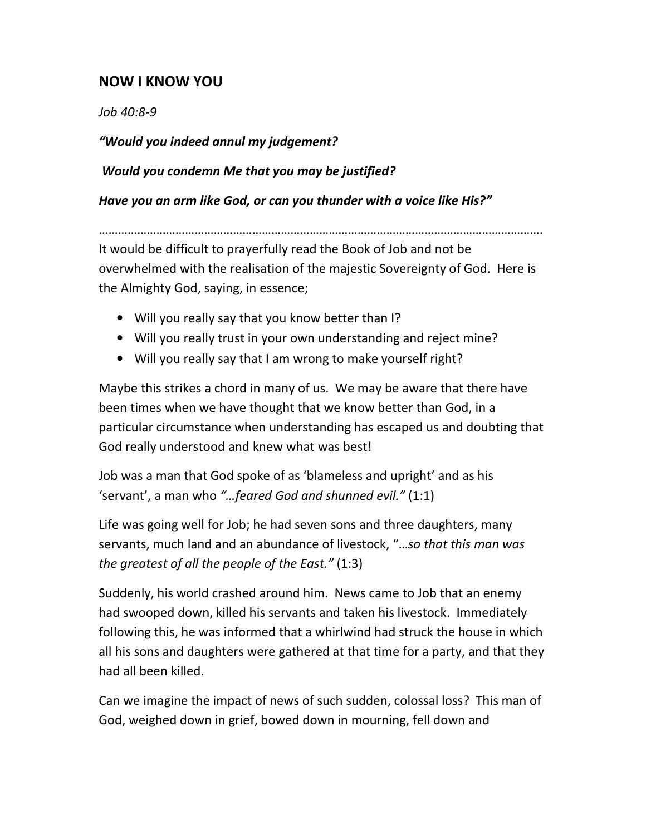## NOW I KNOW YOU

Job 40:8-9

"Would you indeed annul my judgement?

Would you condemn Me that you may be justified?

Have you an arm like God, or can you thunder with a voice like His?"

…………………………………………………………………………………………………………………………. It would be difficult to prayerfully read the Book of Job and not be overwhelmed with the realisation of the majestic Sovereignty of God. Here is the Almighty God, saying, in essence;

- Will you really say that you know better than I?
- Will you really trust in your own understanding and reject mine?
- Will you really say that I am wrong to make yourself right?

Maybe this strikes a chord in many of us. We may be aware that there have been times when we have thought that we know better than God, in a particular circumstance when understanding has escaped us and doubting that God really understood and knew what was best!

Job was a man that God spoke of as 'blameless and upright' and as his 'servant', a man who "…feared God and shunned evil." (1:1)

Life was going well for Job; he had seven sons and three daughters, many servants, much land and an abundance of livestock, "...so that this man was the greatest of all the people of the East." (1:3)

Suddenly, his world crashed around him. News came to Job that an enemy had swooped down, killed his servants and taken his livestock. Immediately following this, he was informed that a whirlwind had struck the house in which all his sons and daughters were gathered at that time for a party, and that they had all been killed.

Can we imagine the impact of news of such sudden, colossal loss? This man of God, weighed down in grief, bowed down in mourning, fell down and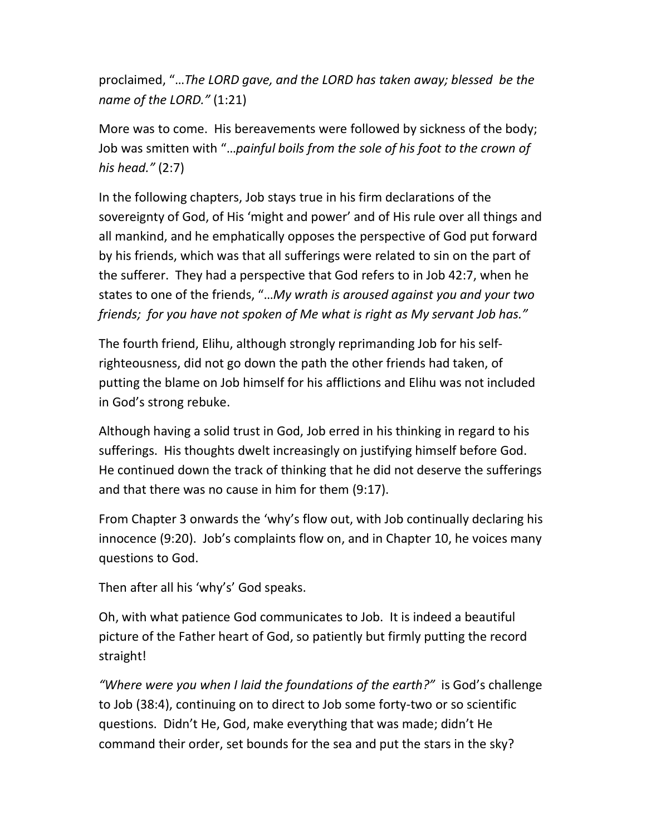proclaimed, "…The LORD gave, and the LORD has taken away; blessed be the name of the LORD." (1:21)

More was to come. His bereavements were followed by sickness of the body; Job was smitten with "…painful boils from the sole of his foot to the crown of his head." (2:7)

In the following chapters, Job stays true in his firm declarations of the sovereignty of God, of His 'might and power' and of His rule over all things and all mankind, and he emphatically opposes the perspective of God put forward by his friends, which was that all sufferings were related to sin on the part of the sufferer. They had a perspective that God refers to in Job 42:7, when he states to one of the friends, "…My wrath is aroused against you and your two friends; for you have not spoken of Me what is right as My servant Job has."

The fourth friend, Elihu, although strongly reprimanding Job for his selfrighteousness, did not go down the path the other friends had taken, of putting the blame on Job himself for his afflictions and Elihu was not included in God's strong rebuke.

Although having a solid trust in God, Job erred in his thinking in regard to his sufferings. His thoughts dwelt increasingly on justifying himself before God. He continued down the track of thinking that he did not deserve the sufferings and that there was no cause in him for them (9:17).

From Chapter 3 onwards the 'why's flow out, with Job continually declaring his innocence (9:20). Job's complaints flow on, and in Chapter 10, he voices many questions to God.

Then after all his 'why's' God speaks.

Oh, with what patience God communicates to Job. It is indeed a beautiful picture of the Father heart of God, so patiently but firmly putting the record straight!

"Where were you when I laid the foundations of the earth?" is God's challenge to Job (38:4), continuing on to direct to Job some forty-two or so scientific questions. Didn't He, God, make everything that was made; didn't He command their order, set bounds for the sea and put the stars in the sky?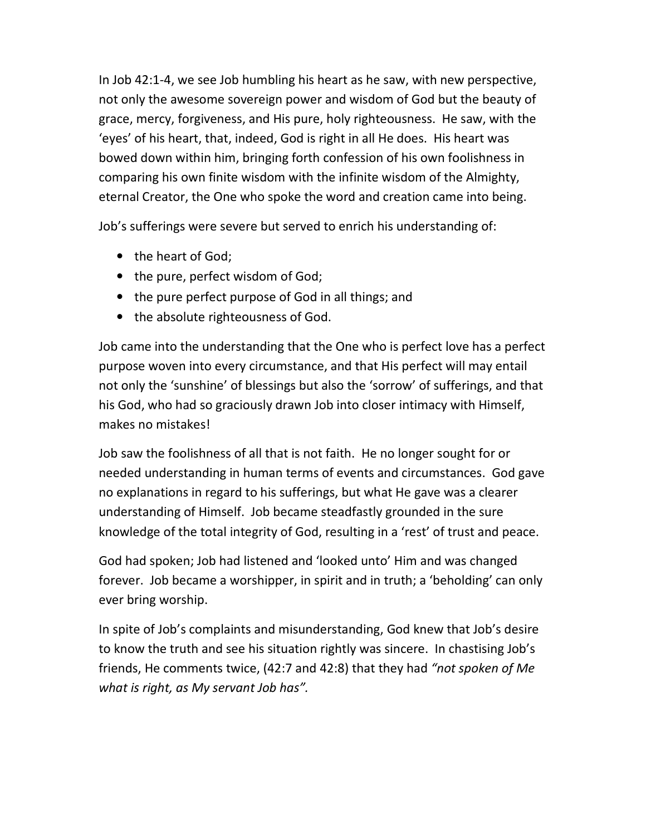In Job 42:1-4, we see Job humbling his heart as he saw, with new perspective, not only the awesome sovereign power and wisdom of God but the beauty of grace, mercy, forgiveness, and His pure, holy righteousness. He saw, with the 'eyes' of his heart, that, indeed, God is right in all He does. His heart was bowed down within him, bringing forth confession of his own foolishness in comparing his own finite wisdom with the infinite wisdom of the Almighty, eternal Creator, the One who spoke the word and creation came into being.

Job's sufferings were severe but served to enrich his understanding of:

- the heart of God;
- the pure, perfect wisdom of God;
- the pure perfect purpose of God in all things; and
- the absolute righteousness of God.

Job came into the understanding that the One who is perfect love has a perfect purpose woven into every circumstance, and that His perfect will may entail not only the 'sunshine' of blessings but also the 'sorrow' of sufferings, and that his God, who had so graciously drawn Job into closer intimacy with Himself, makes no mistakes!

Job saw the foolishness of all that is not faith. He no longer sought for or needed understanding in human terms of events and circumstances. God gave no explanations in regard to his sufferings, but what He gave was a clearer understanding of Himself. Job became steadfastly grounded in the sure knowledge of the total integrity of God, resulting in a 'rest' of trust and peace.

God had spoken; Job had listened and 'looked unto' Him and was changed forever. Job became a worshipper, in spirit and in truth; a 'beholding' can only ever bring worship.

In spite of Job's complaints and misunderstanding, God knew that Job's desire to know the truth and see his situation rightly was sincere. In chastising Job's friends, He comments twice, (42:7 and 42:8) that they had "not spoken of Me what is right, as My servant Job has".